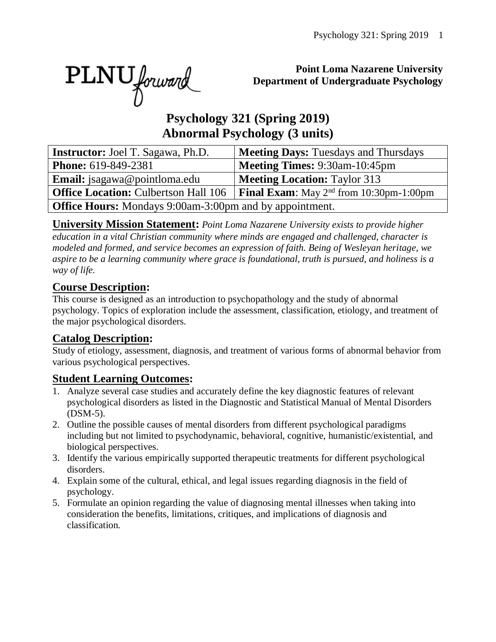PLNU forward

#### **Point Loma Nazarene University Department of Undergraduate Psychology**

# **Psychology 321 (Spring 2019) Abnormal Psychology (3 units)**

| <b>Instructor:</b> Joel T. Sagawa, Ph.D.                       | <b>Meeting Days: Tuesdays and Thursdays</b>         |  |  |  |  |  |  |
|----------------------------------------------------------------|-----------------------------------------------------|--|--|--|--|--|--|
| <b>Phone:</b> 619-849-2381                                     | <b>Meeting Times: 9:30am-10:45pm</b>                |  |  |  |  |  |  |
| <b>Email:</b> jsagawa@pointloma.edu                            | <b>Meeting Location: Taylor 313</b>                 |  |  |  |  |  |  |
| <b>Office Location: Culbertson Hall 106</b>                    | <b>Final Exam:</b> May $2^{nd}$ from 10:30pm-1:00pm |  |  |  |  |  |  |
| <b>Office Hours:</b> Mondays 9:00am-3:00pm and by appointment. |                                                     |  |  |  |  |  |  |

**University Mission Statement:** *Point Loma Nazarene University exists to provide higher education in a vital Christian community where minds are engaged and challenged, character is modeled and formed, and service becomes an expression of faith. Being of Wesleyan heritage, we aspire to be a learning community where grace is foundational, truth is pursued, and holiness is a way of life.*

## **Course Description:**

This course is designed as an introduction to psychopathology and the study of abnormal psychology. Topics of exploration include the assessment, classification, etiology, and treatment of the major psychological disorders.

## **Catalog Description:**

Study of etiology, assessment, diagnosis, and treatment of various forms of abnormal behavior from various psychological perspectives.

# **Student Learning Outcomes:**

- 1. Analyze several case studies and accurately define the key diagnostic features of relevant psychological disorders as listed in the Diagnostic and Statistical Manual of Mental Disorders (DSM-5).
- 2. Outline the possible causes of mental disorders from different psychological paradigms including but not limited to psychodynamic, behavioral, cognitive, humanistic/existential, and biological perspectives.
- 3. Identify the various empirically supported therapeutic treatments for different psychological disorders.
- 4. Explain some of the cultural, ethical, and legal issues regarding diagnosis in the field of psychology.
- 5. Formulate an opinion regarding the value of diagnosing mental illnesses when taking into consideration the benefits, limitations, critiques, and implications of diagnosis and classification.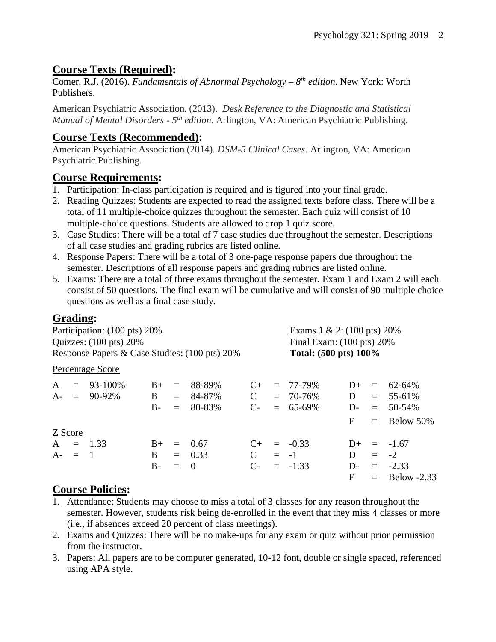# **Course Texts (Required):**

Comer, R.J. (2016). *Fundamentals of Abnormal Psychology – 8 th edition*. New York: Worth Publishers.

American Psychiatric Association. (2013). *Desk Reference to the Diagnostic and Statistical Manual of Mental Disorders - 5<sup>th</sup> edition.* Arlington, VA: American Psychiatric Publishing.

# **Course Texts (Recommended):**

American Psychiatric Association (2014). *DSM-5 Clinical Cases.* Arlington, VA: American Psychiatric Publishing.

## **Course Requirements:**

- 1. Participation: In-class participation is required and is figured into your final grade.
- 2. Reading Quizzes: Students are expected to read the assigned texts before class. There will be a total of 11 multiple-choice quizzes throughout the semester. Each quiz will consist of 10 multiple-choice questions. Students are allowed to drop 1 quiz score.
- 3. Case Studies: There will be a total of 7 case studies due throughout the semester. Descriptions of all case studies and grading rubrics are listed online.
- 4. Response Papers: There will be a total of 3 one-page response papers due throughout the semester. Descriptions of all response papers and grading rubrics are listed online.
- 5. Exams: There are a total of three exams throughout the semester. Exam 1 and Exam 2 will each consist of 50 questions. The final exam will be cumulative and will consist of 90 multiple choice questions as well as a final case study.

# **Grading:**

| Participation: (100 pts) 20%<br>Quizzes: $(100 \text{ pts}) 20\%$ |           |                  |      |     |                |               |  | Exams $1 \& 2$ : (100 pts) 20%<br>Final Exam: $(100 \text{ pts}) 20\%$ |       |     |                 |  |
|-------------------------------------------------------------------|-----------|------------------|------|-----|----------------|---------------|--|------------------------------------------------------------------------|-------|-----|-----------------|--|
| Response Papers & Case Studies: (100 pts) 20%                     |           |                  |      |     |                |               |  | Total: (500 pts) 100%                                                  |       |     |                 |  |
|                                                                   |           | Percentage Score |      |     |                |               |  |                                                                        |       |     |                 |  |
| $\mathbf{A}$                                                      |           | $= 93 - 100\%$   | $B+$ | $=$ | 88-89%         | $C_{\pm}$     |  | $= 77 - 79\%$                                                          | $D+$  |     | $= 62 - 64\%$   |  |
|                                                                   |           | $A = 90-92\%$    | B    | $=$ | 84-87%         | $\mathbf C$   |  | $= 70 - 76\%$                                                          | D     |     | $= 55-61\%$     |  |
|                                                                   |           |                  | $B-$ | $=$ | 80-83%         | $C$ -         |  | $= 65-69\%$                                                            | $D-$  |     | $= 50-54\%$     |  |
|                                                                   |           |                  |      |     |                |               |  |                                                                        | F     |     | $=$ Below 50%   |  |
| Z Score                                                           |           |                  |      |     |                |               |  |                                                                        |       |     |                 |  |
|                                                                   |           | $A = 1.33$       | $B+$ | $=$ | 0.67           | $C_{\pm}$     |  | $= -0.33$                                                              | $D+$  |     | $=$ -1.67       |  |
|                                                                   | $A - = 1$ |                  | B.   |     | $= 0.33$       | $\mathcal{C}$ |  | $= -1$                                                                 | D     | $=$ | $-2$            |  |
|                                                                   |           |                  | $B-$ | $=$ | $\overline{0}$ | $C$ -         |  | $= -1.33$                                                              | $D$ - |     | $= -2.33$       |  |
|                                                                   |           |                  |      |     |                |               |  |                                                                        | F     |     | $=$ Below -2.33 |  |

# **Course Policies:**

- 1. Attendance: Students may choose to miss a total of 3 classes for any reason throughout the semester. However, students risk being de-enrolled in the event that they miss 4 classes or more (i.e., if absences exceed 20 percent of class meetings).
- 2. Exams and Quizzes: There will be no make-ups for any exam or quiz without prior permission from the instructor.
- 3. Papers: All papers are to be computer generated, 10-12 font, double or single spaced, referenced using APA style.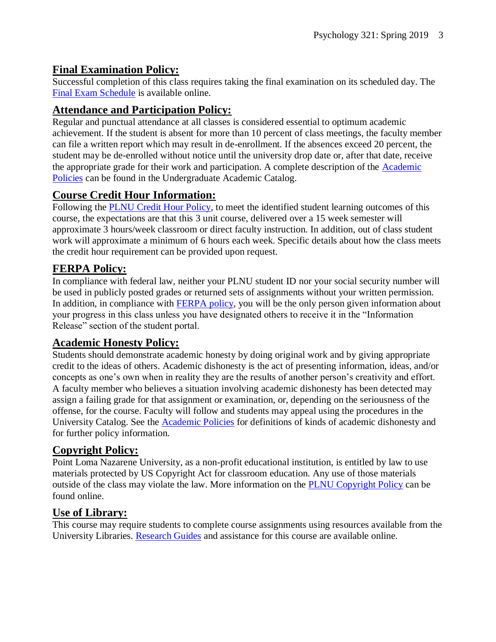#### **Final Examination Policy:**

Successful completion of this class requires taking the final examination on its scheduled day. The [Final Exam Schedule](http://www.pointloma.edu/experience/academics/class-schedules) is available online.

## **Attendance and Participation Policy:**

Regular and punctual attendance at all classes is considered essential to optimum academic achievement. If the student is absent for more than 10 percent of class meetings, the faculty member can file a written report which may result in de-enrollment. If the absences exceed 20 percent, the student may be de-enrolled without notice until the university drop date or, after that date, receive the appropriate grade for their work and participation. A complete description of the [Academic](https://catalog.pointloma.edu/content.php?catoid=18&navoid=1278#Class_Attendance)  [Policies](https://catalog.pointloma.edu/content.php?catoid=18&navoid=1278#Class_Attendance) can be found in the Undergraduate Academic Catalog.

## **Course Credit Hour Information:**

Following the [PLNU Credit Hour Policy,](http://catalog.pointloma.edu/content.php?catoid=18&navoid=1278#Credit_Hour_Definition) to meet the identified student learning outcomes of this course, the expectations are that this 3 unit course, delivered over a 15 week semester will approximate 3 hours/week classroom or direct faculty instruction. In addition, out of class student work will approximate a minimum of 6 hours each week. Specific details about how the class meets the credit hour requirement can be provided upon request.

## **FERPA Policy:**

In compliance with federal law, neither your PLNU student ID nor your social security number will be used in publicly posted grades or returned sets of assignments without your written permission. In addition, in compliance with [FERPA policy,](http://catalog.pointloma.edu/content.php?catoid=18&navoid=1278#Education_Records__FERPA__and_Directory_Information) you will be the only person given information about your progress in this class unless you have designated others to receive it in the "Information Release" section of the student portal.

## **Academic Honesty Policy:**

Students should demonstrate academic honesty by doing original work and by giving appropriate credit to the ideas of others. Academic dishonesty is the act of presenting information, ideas, and/or concepts as one's own when in reality they are the results of another person's creativity and effort. A faculty member who believes a situation involving academic dishonesty has been detected may assign a failing grade for that assignment or examination, or, depending on the seriousness of the offense, for the course. Faculty will follow and students may appeal using the procedures in the University Catalog. See the **Academic Policies** for definitions of kinds of academic dishonesty and for further policy information.

## **Copyright Policy:**

Point Loma Nazarene University, as a non-profit educational institution, is entitled by law to use materials protected by US Copyright Act for classroom education. Any use of those materials outside of the class may violate the law. More information on the [PLNU Copyright Policy](http://libguides.pointloma.edu/content.php?pid=203591&sid=1700398) can be found online.

#### **Use of Library:**

This course may require students to complete course assignments using resources available from the University Libraries. [Research Guides](http://libguides.pointloma.edu/ResearchGuides) and assistance for this course are available online.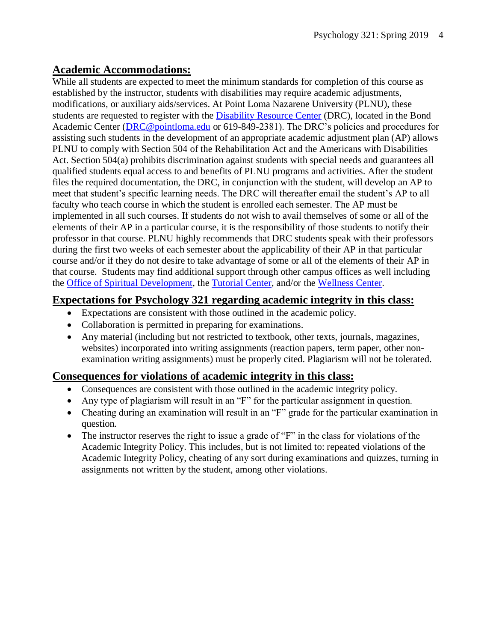#### **Academic Accommodations:**

While all students are expected to meet the minimum standards for completion of this course as established by the instructor, students with disabilities may require academic adjustments, modifications, or auxiliary aids/services. At Point Loma Nazarene University (PLNU), these students are requested to register with the [Disability Resource Center](http://www.pointloma.edu/experience/offices/administrative-offices/academic-advising-office/disability-resource-center) (DRC), located in the Bond Academic Center [\(DRC@pointloma.edu](mailto:DRC@pointloma.edu) or 619-849-2381). The DRC's policies and procedures for assisting such students in the development of an appropriate academic adjustment plan (AP) allows PLNU to comply with Section 504 of the Rehabilitation Act and the Americans with Disabilities Act. Section 504(a) prohibits discrimination against students with special needs and guarantees all qualified students equal access to and benefits of PLNU programs and activities. After the student files the required documentation, the DRC, in conjunction with the student, will develop an AP to meet that student's specific learning needs. The DRC will thereafter email the student's AP to all faculty who teach course in which the student is enrolled each semester. The AP must be implemented in all such courses. If students do not wish to avail themselves of some or all of the elements of their AP in a particular course, it is the responsibility of those students to notify their professor in that course. PLNU highly recommends that DRC students speak with their professors during the first two weeks of each semester about the applicability of their AP in that particular course and/or if they do not desire to take advantage of some or all of the elements of their AP in that course. Students may find additional support through other campus offices as well including the [Office of Spiritual Development,](https://www.pointloma.edu/offices/spiritual-development) the [Tutorial Center,](https://www.pointloma.edu/offices/tutorial-services) and/or the [Wellness Center.](https://www.pointloma.edu/offices/wellness-center)

#### **Expectations for Psychology 321 regarding academic integrity in this class:**

- Expectations are consistent with those outlined in the academic policy.
- Collaboration is permitted in preparing for examinations.
- Any material (including but not restricted to textbook, other texts, journals, magazines, websites) incorporated into writing assignments (reaction papers, term paper, other nonexamination writing assignments) must be properly cited. Plagiarism will not be tolerated.

#### **Consequences for violations of academic integrity in this class:**

- Consequences are consistent with those outlined in the academic integrity policy.
- Any type of plagiarism will result in an "F" for the particular assignment in question.
- Cheating during an examination will result in an "F" grade for the particular examination in question.
- The instructor reserves the right to issue a grade of "F" in the class for violations of the Academic Integrity Policy. This includes, but is not limited to: repeated violations of the Academic Integrity Policy, cheating of any sort during examinations and quizzes, turning in assignments not written by the student, among other violations.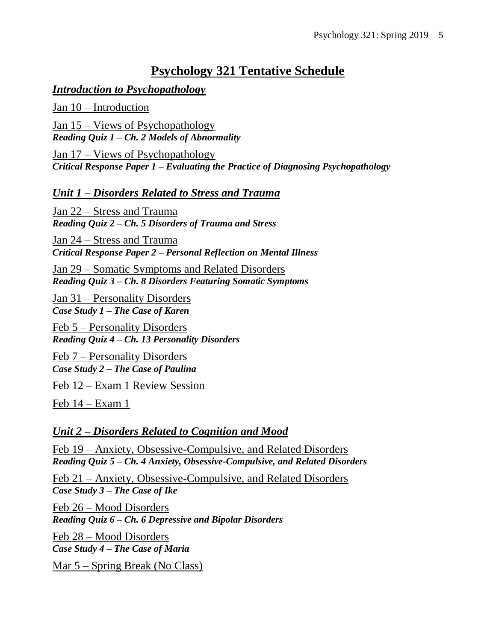# **Psychology 321 Tentative Schedule**

## *Introduction to Psychopathology*

Jan 10 – Introduction

Jan 15 – Views of Psychopathology *Reading Quiz 1 – Ch. 2 Models of Abnormality*

Jan 17 – Views of Psychopathology *Critical Response Paper 1 – Evaluating the Practice of Diagnosing Psychopathology*

*Unit 1 – Disorders Related to Stress and Trauma*

Jan 22 – Stress and Trauma *Reading Quiz 2 – Ch. 5 Disorders of Trauma and Stress*

Jan 24 – Stress and Trauma *Critical Response Paper 2 – Personal Reflection on Mental Illness*

Jan 29 – Somatic Symptoms and Related Disorders *Reading Quiz 3 – Ch. 8 Disorders Featuring Somatic Symptoms*

Jan 31 – Personality Disorders *Case Study 1 – The Case of Karen*

Feb 5 – Personality Disorders *Reading Quiz 4 – Ch. 13 Personality Disorders*

Feb 7 – Personality Disorders *Case Study 2 – The Case of Paulina*

Feb 12 – Exam 1 Review Session

Feb 14 – Exam 1

## *Unit 2 – Disorders Related to Cognition and Mood*

Feb 19 – Anxiety, Obsessive-Compulsive, and Related Disorders *Reading Quiz 5 – Ch. 4 Anxiety, Obsessive-Compulsive, and Related Disorders*

Feb 21 – Anxiety, Obsessive-Compulsive, and Related Disorders *Case Study 3 – The Case of Ike*

Feb 26 – Mood Disorders *Reading Quiz 6 – Ch. 6 Depressive and Bipolar Disorders*

Feb 28 – Mood Disorders *Case Study 4 – The Case of Maria* 

Mar 5 – Spring Break (No Class)